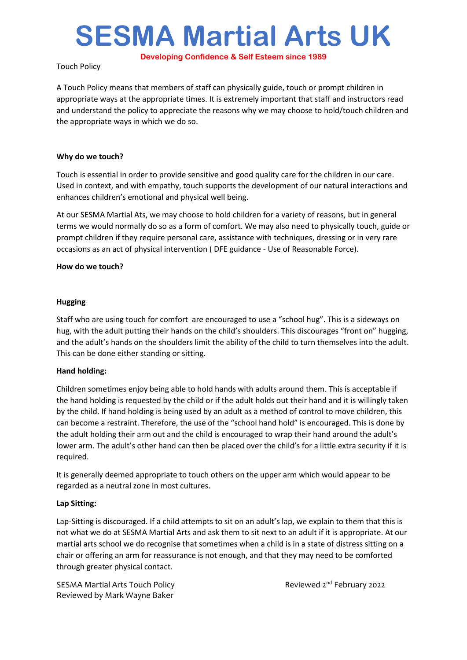# **SESMA Martial Arts UK**

**Developing Confidence & Self Esteem since 1989**

Touch Policy

A Touch Policy means that members of staff can physically guide, touch or prompt children in appropriate ways at the appropriate times. It is extremely important that staff and instructors read and understand the policy to appreciate the reasons why we may choose to hold/touch children and the appropriate ways in which we do so.

# **Why do we touch?**

Touch is essential in order to provide sensitive and good quality care for the children in our care. Used in context, and with empathy, touch supports the development of our natural interactions and enhances children's emotional and physical well being.

At our SESMA Martial Ats, we may choose to hold children for a variety of reasons, but in general terms we would normally do so as a form of comfort. We may also need to physically touch, guide or prompt children if they require personal care, assistance with techniques, dressing or in very rare occasions as an act of physical intervention ( DFE guidance - Use of Reasonable Force).

#### **How do we touch?**

#### **Hugging**

Staff who are using touch for comfort are encouraged to use a "school hug". This is a sideways on hug, with the adult putting their hands on the child's shoulders. This discourages "front on" hugging, and the adult's hands on the shoulders limit the ability of the child to turn themselves into the adult. This can be done either standing or sitting.

# **Hand holding:**

Children sometimes enjoy being able to hold hands with adults around them. This is acceptable if the hand holding is requested by the child or if the adult holds out their hand and it is willingly taken by the child. If hand holding is being used by an adult as a method of control to move children, this can become a restraint. Therefore, the use of the "school hand hold" is encouraged. This is done by the adult holding their arm out and the child is encouraged to wrap their hand around the adult's lower arm. The adult's other hand can then be placed over the child's for a little extra security if it is required.

It is generally deemed appropriate to touch others on the upper arm which would appear to be regarded as a neutral zone in most cultures.

#### **Lap Sitting:**

Lap-Sitting is discouraged. If a child attempts to sit on an adult's lap, we explain to them that this is not what we do at SESMA Martial Arts and ask them to sit next to an adult if it is appropriate. At our martial arts school we do recognise that sometimes when a child is in a state of distress sitting on a chair or offering an arm for reassurance is not enough, and that they may need to be comforted through greater physical contact.

SESMA Martial Arts Touch Policy **Reviewed 2nd February 2022** Reviewed by Mark Wayne Baker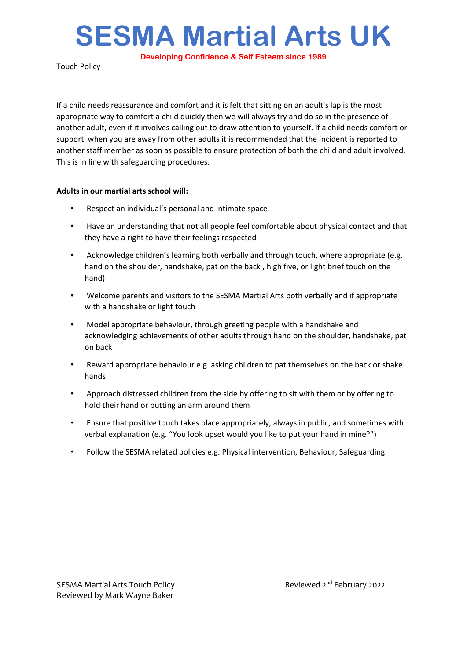**SESMA Martial Arts UK**

**Developing Confidence & Self Esteem since 1989**

Touch Policy

If a child needs reassurance and comfort and it is felt that sitting on an adult's lap is the most appropriate way to comfort a child quickly then we will always try and do so in the presence of another adult, even if it involves calling out to draw attention to yourself. If a child needs comfort or support when you are away from other adults it is recommended that the incident is reported to another staff member as soon as possible to ensure protection of both the child and adult involved. This is in line with safeguarding procedures.

# **Adults in our martial arts school will:**

- Respect an individual's personal and intimate space
- Have an understanding that not all people feel comfortable about physical contact and that they have a right to have their feelings respected
- Acknowledge children's learning both verbally and through touch, where appropriate (e.g. hand on the shoulder, handshake, pat on the back , high five, or light brief touch on the hand)
- Welcome parents and visitors to the SESMA Martial Arts both verbally and if appropriate with a handshake or light touch
- Model appropriate behaviour, through greeting people with a handshake and acknowledging achievements of other adults through hand on the shoulder, handshake, pat on back
- Reward appropriate behaviour e.g. asking children to pat themselves on the back or shake hands
- Approach distressed children from the side by offering to sit with them or by offering to hold their hand or putting an arm around them
- Ensure that positive touch takes place appropriately, always in public, and sometimes with verbal explanation (e.g. "You look upset would you like to put your hand in mine?")
- Follow the SESMA related policies e.g. Physical intervention, Behaviour, Safeguarding.